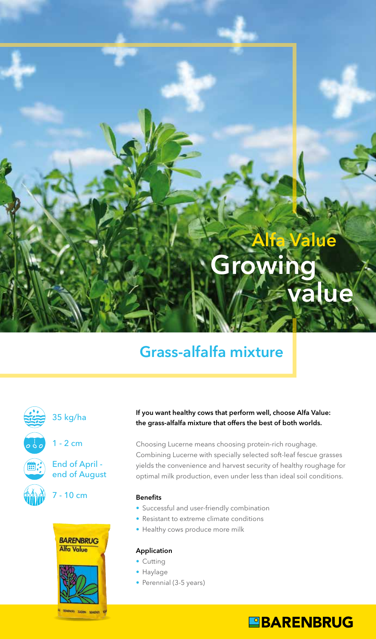

## Grass-alfalfa mixture



XXXXXX<br>Qiyin iyoy

### 35 kg/ha









#### If you want healthy cows that perform well, choose Alfa Value: the grass-alfalfa mixture that offers the best of both worlds.

Choosing Lucerne means choosing protein-rich roughage. Combining Lucerne with specially selected soft-leaf fescue grasses yields the convenience and harvest security of healthy roughage for optimal milk production, even under less than ideal soil conditions.

#### **Benefits**

- **•** Successful and user-friendly combination
- **•** Resistant to extreme climate conditions
- **•** Healthy cows produce more milk

#### Application

- **•** Cutting
- Haylage
- Perennial (3-5 years)

### **EBARENBRUG**